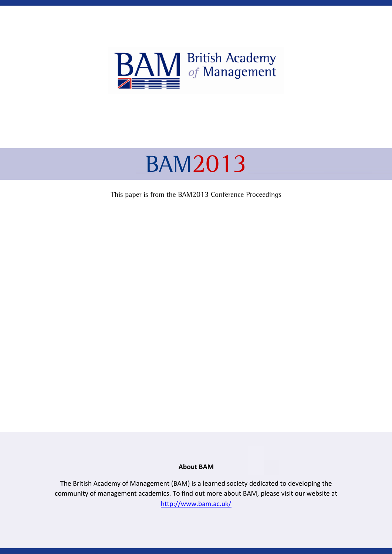

# BAM2013

This paper is from the BAM2013 Conference Proceedings

#### About BAM

The British Academy of Management (BAM) is a learned society dedicated to developing the community of management academics. To find out more about BAM, please visit our website at http://www.bam.ac.uk/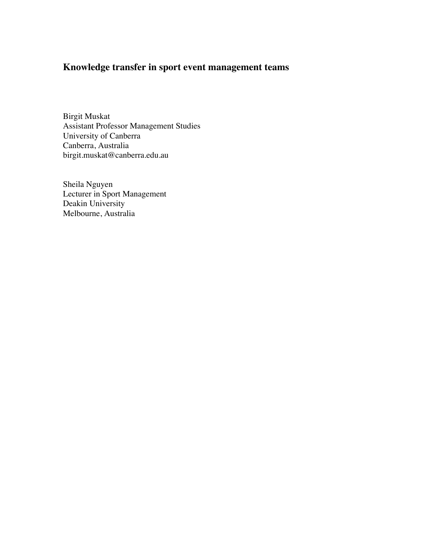# **Knowledge transfer in sport event management teams**

Birgit Muskat Assistant Professor Management Studies University of Canberra Canberra, Australia birgit.muskat@canberra.edu.au

Sheila Nguyen Lecturer in Sport Management Deakin University Melbourne, Australia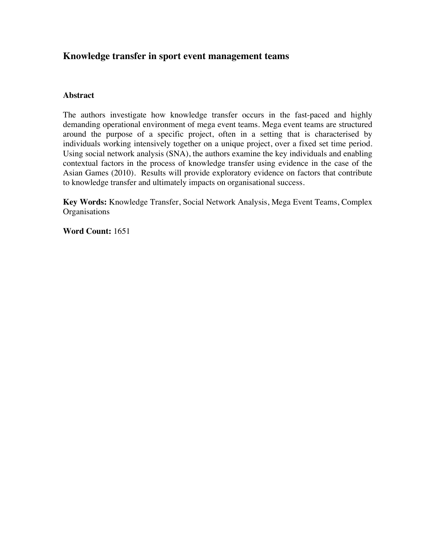## **Knowledge transfer in sport event management teams**

### **Abstract**

The authors investigate how knowledge transfer occurs in the fast-paced and highly demanding operational environment of mega event teams. Mega event teams are structured around the purpose of a specific project, often in a setting that is characterised by individuals working intensively together on a unique project, over a fixed set time period. Using social network analysis (SNA), the authors examine the key individuals and enabling contextual factors in the process of knowledge transfer using evidence in the case of the Asian Games (2010). Results will provide exploratory evidence on factors that contribute to knowledge transfer and ultimately impacts on organisational success.

**Key Words:** Knowledge Transfer, Social Network Analysis, Mega Event Teams, Complex **Organisations** 

**Word Count:** 1651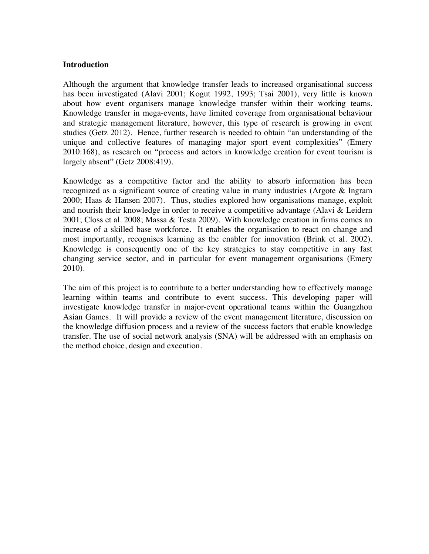#### **Introduction**

Although the argument that knowledge transfer leads to increased organisational success has been investigated (Alavi 2001; Kogut 1992, 1993; Tsai 2001), very little is known about how event organisers manage knowledge transfer within their working teams. Knowledge transfer in mega-events, have limited coverage from organisational behaviour and strategic management literature, however, this type of research is growing in event studies (Getz 2012). Hence, further research is needed to obtain "an understanding of the unique and collective features of managing major sport event complexities" (Emery 2010:168), as research on "process and actors in knowledge creation for event tourism is largely absent" (Getz 2008:419).

Knowledge as a competitive factor and the ability to absorb information has been recognized as a significant source of creating value in many industries (Argote & Ingram 2000; Haas & Hansen 2007). Thus, studies explored how organisations manage, exploit and nourish their knowledge in order to receive a competitive advantage (Alavi & Leidern 2001; Closs et al. 2008; Massa & Testa 2009). With knowledge creation in firms comes an increase of a skilled base workforce. It enables the organisation to react on change and most importantly, recognises learning as the enabler for innovation (Brink et al. 2002). Knowledge is consequently one of the key strategies to stay competitive in any fast changing service sector, and in particular for event management organisations (Emery 2010).

The aim of this project is to contribute to a better understanding how to effectively manage learning within teams and contribute to event success. This developing paper will investigate knowledge transfer in major-event operational teams within the Guangzhou Asian Games. It will provide a review of the event management literature, discussion on the knowledge diffusion process and a review of the success factors that enable knowledge transfer. The use of social network analysis (SNA) will be addressed with an emphasis on the method choice, design and execution.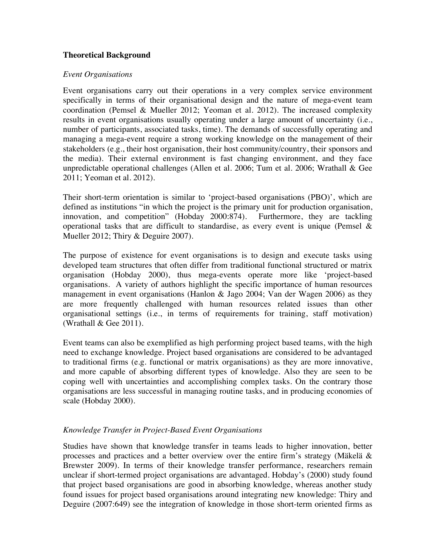### **Theoretical Background**

#### *Event Organisations*

Event organisations carry out their operations in a very complex service environment specifically in terms of their organisational design and the nature of mega-event team coordination (Pemsel & Mueller 2012; Yeoman et al. 2012). The increased complexity results in event organisations usually operating under a large amount of uncertainty (i.e., number of participants, associated tasks, time). The demands of successfully operating and managing a mega-event require a strong working knowledge on the management of their stakeholders (e.g., their host organisation, their host community/country, their sponsors and the media). Their external environment is fast changing environment, and they face unpredictable operational challenges (Allen et al. 2006; Tum et al. 2006; Wrathall & Gee 2011; Yeoman et al. 2012).

Their short-term orientation is similar to 'project-based organisations (PBO)', which are defined as institutions "in which the project is the primary unit for production organisation, innovation, and competition" (Hobday 2000:874). Furthermore, they are tackling operational tasks that are difficult to standardise, as every event is unique (Pemsel  $\&$ Mueller 2012; Thiry & Deguire 2007).

The purpose of existence for event organisations is to design and execute tasks using developed team structures that often differ from traditional functional structured or matrix organisation (Hobday 2000), thus mega-events operate more like 'project-based organisations. A variety of authors highlight the specific importance of human resources management in event organisations (Hanlon & Jago 2004; Van der Wagen 2006) as they are more frequently challenged with human resources related issues than other organisational settings (i.e., in terms of requirements for training, staff motivation) (Wrathall & Gee 2011).

Event teams can also be exemplified as high performing project based teams, with the high need to exchange knowledge. Project based organisations are considered to be advantaged to traditional firms (e.g. functional or matrix organisations) as they are more innovative, and more capable of absorbing different types of knowledge. Also they are seen to be coping well with uncertainties and accomplishing complex tasks. On the contrary those organisations are less successful in managing routine tasks, and in producing economies of scale (Hobday 2000).

#### *Knowledge Transfer in Project-Based Event Organisations*

Studies have shown that knowledge transfer in teams leads to higher innovation, better processes and practices and a better overview over the entire firm's strategy (Mäkelä & Brewster 2009). In terms of their knowledge transfer performance, researchers remain unclear if short-termed project organisations are advantaged. Hobday's (2000) study found that project based organisations are good in absorbing knowledge, whereas another study found issues for project based organisations around integrating new knowledge: Thiry and Deguire (2007:649) see the integration of knowledge in those short-term oriented firms as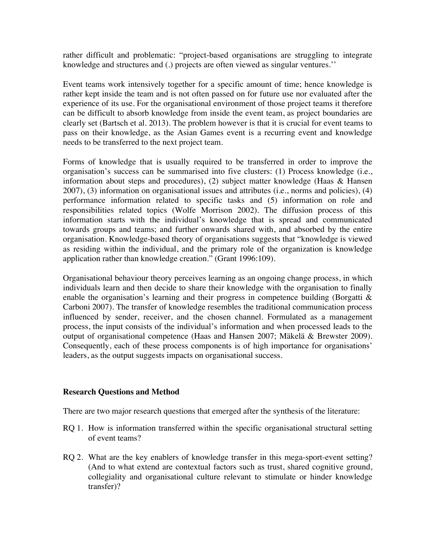rather difficult and problematic: "project-based organisations are struggling to integrate knowledge and structures and (.) projects are often viewed as singular ventures.''

Event teams work intensively together for a specific amount of time; hence knowledge is rather kept inside the team and is not often passed on for future use nor evaluated after the experience of its use. For the organisational environment of those project teams it therefore can be difficult to absorb knowledge from inside the event team, as project boundaries are clearly set (Bartsch et al. 2013). The problem however is that it is crucial for event teams to pass on their knowledge, as the Asian Games event is a recurring event and knowledge needs to be transferred to the next project team.

Forms of knowledge that is usually required to be transferred in order to improve the organisation's success can be summarised into five clusters: (1) Process knowledge (i.e., information about steps and procedures), (2) subject matter knowledge (Haas & Hansen 2007), (3) information on organisational issues and attributes (i.e., norms and policies), (4) performance information related to specific tasks and (5) information on role and responsibilities related topics (Wolfe Morrison 2002). The diffusion process of this information starts with the individual's knowledge that is spread and communicated towards groups and teams; and further onwards shared with, and absorbed by the entire organisation. Knowledge-based theory of organisations suggests that "knowledge is viewed as residing within the individual, and the primary role of the organization is knowledge application rather than knowledge creation." (Grant 1996:109).

Organisational behaviour theory perceives learning as an ongoing change process, in which individuals learn and then decide to share their knowledge with the organisation to finally enable the organisation's learning and their progress in competence building (Borgatti  $\&$ Carboni 2007). The transfer of knowledge resembles the traditional communication process influenced by sender, receiver, and the chosen channel. Formulated as a management process, the input consists of the individual's information and when processed leads to the output of organisational competence (Haas and Hansen 2007; Mäkelä & Brewster 2009). Consequently, each of these process components is of high importance for organisations' leaders, as the output suggests impacts on organisational success.

#### **Research Questions and Method**

There are two major research questions that emerged after the synthesis of the literature:

- RQ 1. How is information transferred within the specific organisational structural setting of event teams?
- RQ 2. What are the key enablers of knowledge transfer in this mega-sport-event setting? (And to what extend are contextual factors such as trust, shared cognitive ground, collegiality and organisational culture relevant to stimulate or hinder knowledge transfer)?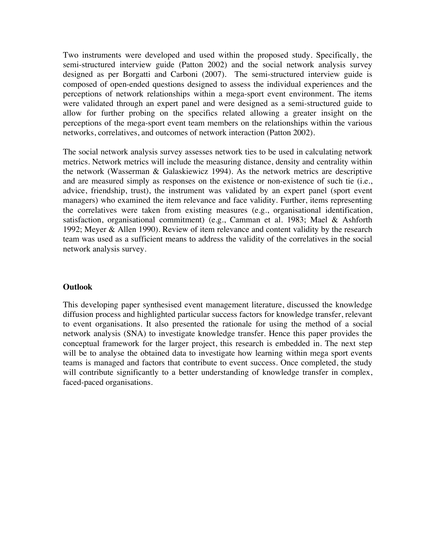Two instruments were developed and used within the proposed study. Specifically, the semi-structured interview guide (Patton 2002) and the social network analysis survey designed as per Borgatti and Carboni (2007). The semi-structured interview guide is composed of open-ended questions designed to assess the individual experiences and the perceptions of network relationships within a mega-sport event environment. The items were validated through an expert panel and were designed as a semi-structured guide to allow for further probing on the specifics related allowing a greater insight on the perceptions of the mega-sport event team members on the relationships within the various networks, correlatives, and outcomes of network interaction (Patton 2002).

The social network analysis survey assesses network ties to be used in calculating network metrics. Network metrics will include the measuring distance, density and centrality within the network (Wasserman & Galaskiewicz 1994). As the network metrics are descriptive and are measured simply as responses on the existence or non-existence of such tie (i.e., advice, friendship, trust), the instrument was validated by an expert panel (sport event managers) who examined the item relevance and face validity. Further, items representing the correlatives were taken from existing measures (e.g., organisational identification, satisfaction, organisational commitment) (e.g., Camman et al. 1983; Mael & Ashforth 1992; Meyer & Allen 1990). Review of item relevance and content validity by the research team was used as a sufficient means to address the validity of the correlatives in the social network analysis survey.

#### **Outlook**

This developing paper synthesised event management literature, discussed the knowledge diffusion process and highlighted particular success factors for knowledge transfer, relevant to event organisations. It also presented the rationale for using the method of a social network analysis (SNA) to investigate knowledge transfer. Hence this paper provides the conceptual framework for the larger project, this research is embedded in. The next step will be to analyse the obtained data to investigate how learning within mega sport events teams is managed and factors that contribute to event success. Once completed, the study will contribute significantly to a better understanding of knowledge transfer in complex, faced-paced organisations.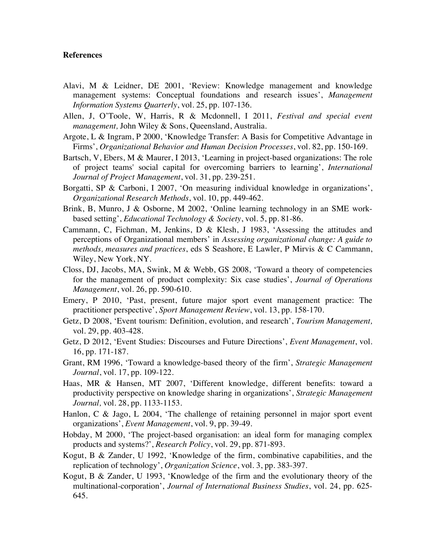#### **References**

- Alavi, M & Leidner, DE 2001, 'Review: Knowledge management and knowledge management systems: Conceptual foundations and research issues', *Management Information Systems Quarterly*, vol. 25, pp. 107-136.
- Allen, J, O'Toole, W, Harris, R & Mcdonnell, I 2011, *Festival and special event management,* John Wiley & Sons, Queensland, Australia.
- Argote, L & Ingram, P 2000, 'Knowledge Transfer: A Basis for Competitive Advantage in Firms', *Organizational Behavior and Human Decision Processes*, vol. 82, pp. 150-169.
- Bartsch, V, Ebers, M & Maurer, I 2013, 'Learning in project-based organizations: The role of project teams' social capital for overcoming barriers to learning', *International Journal of Project Management*, vol. 31, pp. 239-251.
- Borgatti, SP & Carboni, I 2007, 'On measuring individual knowledge in organizations', *Organizational Research Methods*, vol. 10, pp. 449-462.
- Brink, B, Munro, J & Osborne, M 2002, 'Online learning technology in an SME workbased setting', *Educational Technology & Society*, vol. 5, pp. 81-86.
- Cammann, C, Fichman, M, Jenkins, D & Klesh, J 1983, 'Assessing the attitudes and perceptions of Organizational members' in *Assessing organizational change: A guide to methods, measures and practices*, eds S Seashore, E Lawler, P Mirvis & C Cammann, Wiley, New York, NY.
- Closs, DJ, Jacobs, MA, Swink, M & Webb, GS 2008, 'Toward a theory of competencies for the management of product complexity: Six case studies', *Journal of Operations Management*, vol. 26, pp. 590-610.
- Emery, P 2010, 'Past, present, future major sport event management practice: The practitioner perspective', *Sport Management Review*, vol. 13, pp. 158-170.
- Getz, D 2008, 'Event tourism: Definition, evolution, and research', *Tourism Management,* vol. 29, pp. 403-428.
- Getz, D 2012, 'Event Studies: Discourses and Future Directions', *Event Management*, vol. 16, pp. 171-187.
- Grant, RM 1996, 'Toward a knowledge-based theory of the firm', *Strategic Management Journal*, vol. 17, pp. 109-122.
- Haas, MR & Hansen, MT 2007, 'Different knowledge, different benefits: toward a productivity perspective on knowledge sharing in organizations', *Strategic Management Journal,* vol. 28, pp. 1133-1153.
- Hanlon, C & Jago, L 2004, 'The challenge of retaining personnel in major sport event organizations', *Event Management*, vol. 9, pp. 39-49.
- Hobday, M 2000, 'The project-based organisation: an ideal form for managing complex products and systems?', *Research Policy*, vol. 29, pp. 871-893.
- Kogut, B & Zander, U 1992, 'Knowledge of the firm, combinative capabilities, and the replication of technology', *Organization Science*, vol. 3, pp. 383-397.
- Kogut, B & Zander, U 1993, 'Knowledge of the firm and the evolutionary theory of the multinational-corporation', *Journal of International Business Studies*, vol. 24, pp. 625- 645.